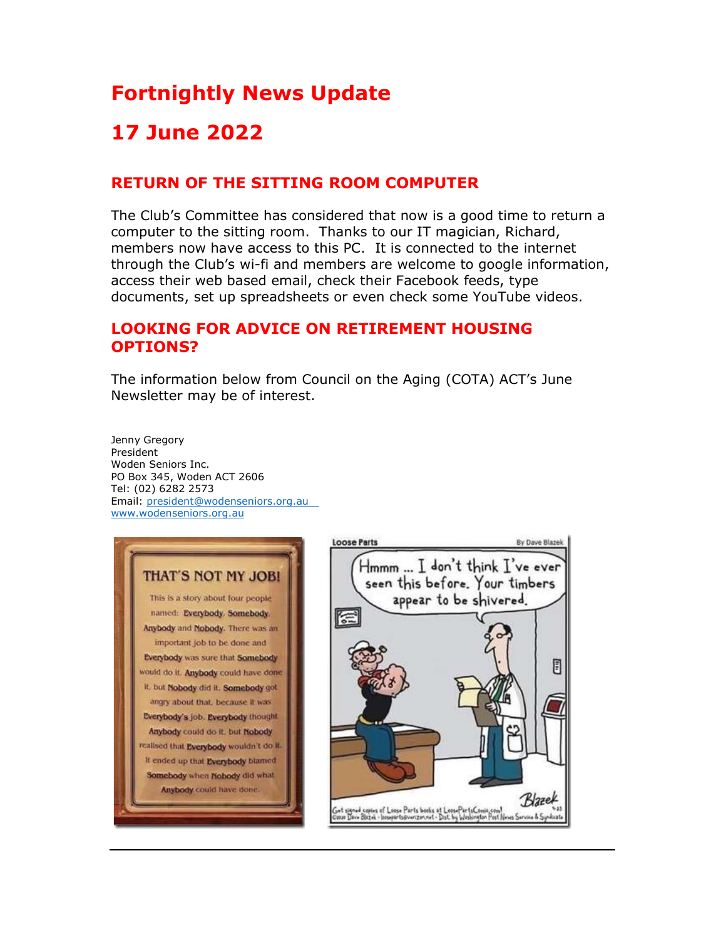# Fortnightly News Update

## 17 June 2022

### RETURN OF THE SITTING ROOM COMPUTER

The Club's Committee has considered that now is a good time to return a computer to the sitting room. Thanks to our IT magician, Richard, members now have access to this PC. It is connected to the internet through the Club's wi-fi and members are welcome to google information, access their web based email, check their Facebook feeds, type documents, set up spreadsheets or even check some YouTube videos.

### LOOKING FOR ADVICE ON RETIREMENT HOUSING OPTIONS?

The information below from Council on the Aging (COTA) ACT's June Newsletter may be of interest.

Jenny Gregory President Woden Seniors Inc. PO Box 345, Woden ACT 2606 Tel: (02) 6282 2573 Email: president@wodenseniors.org.au www.wodenseniors.org.au



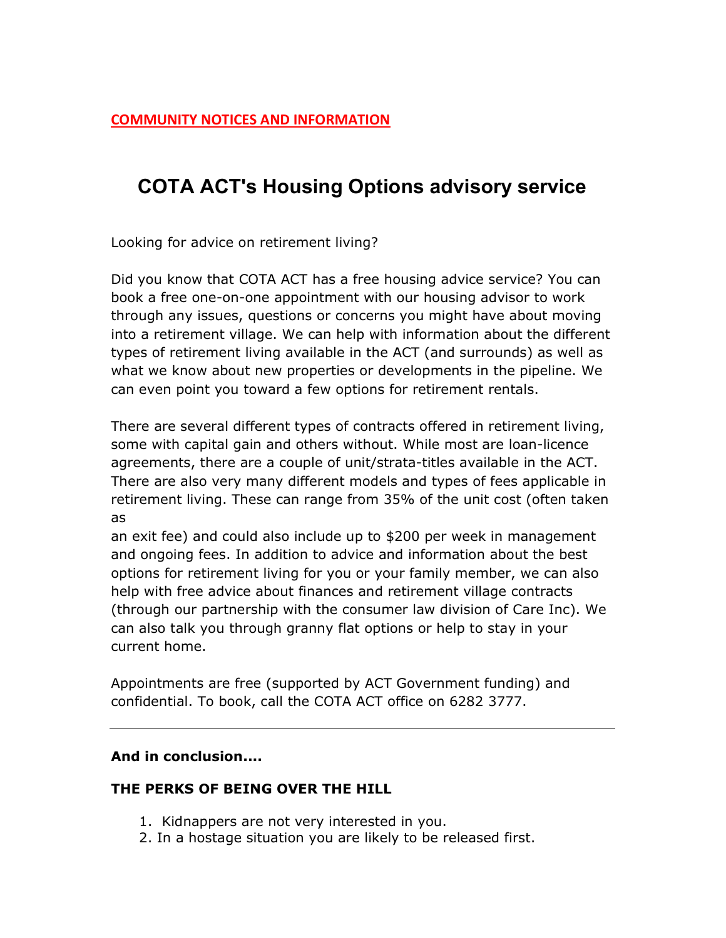### COTA ACT's Housing Options advisory service

Looking for advice on retirement living?

Did you know that COTA ACT has a free housing advice service? You can book a free one-on-one appointment with our housing advisor to work through any issues, questions or concerns you might have about moving into a retirement village. We can help with information about the different types of retirement living available in the ACT (and surrounds) as well as what we know about new properties or developments in the pipeline. We can even point you toward a few options for retirement rentals.

There are several different types of contracts offered in retirement living, some with capital gain and others without. While most are loan-licence agreements, there are a couple of unit/strata-titles available in the ACT. There are also very many different models and types of fees applicable in retirement living. These can range from 35% of the unit cost (often taken as

an exit fee) and could also include up to \$200 per week in management and ongoing fees. In addition to advice and information about the best options for retirement living for you or your family member, we can also help with free advice about finances and retirement village contracts (through our partnership with the consumer law division of Care Inc). We can also talk you through granny flat options or help to stay in your current home.

Appointments are free (supported by ACT Government funding) and confidential. To book, call the COTA ACT office on 6282 3777.

#### And in conclusion....

#### THE PERKS OF BEING OVER THE HILL

- 1. Kidnappers are not very interested in you.
- 2. In a hostage situation you are likely to be released first.